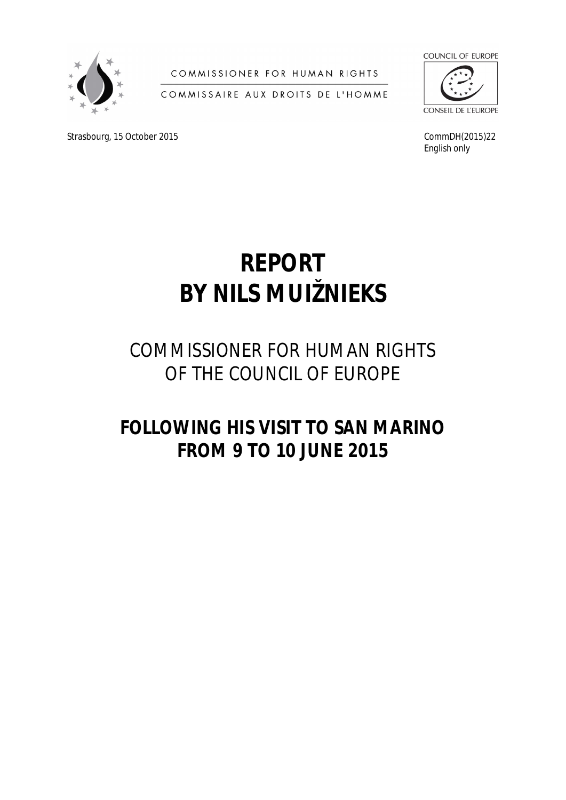

COMMISSIONER FOR HUMAN RIGHTS

COMMISSAIRE AUX DROITS DE L'HOMME

Strasbourg, 15 October 2015 CommDH(2015)22



*English only*

# **REPORT BY NILS MUIŽNIEKS**

# COMMISSIONER FOR HUMAN RIGHTS OF THE COUNCIL OF EUROPE

# **FOLLOWING HIS VISIT TO SAN MARINO FROM 9 TO 10 JUNE 2015**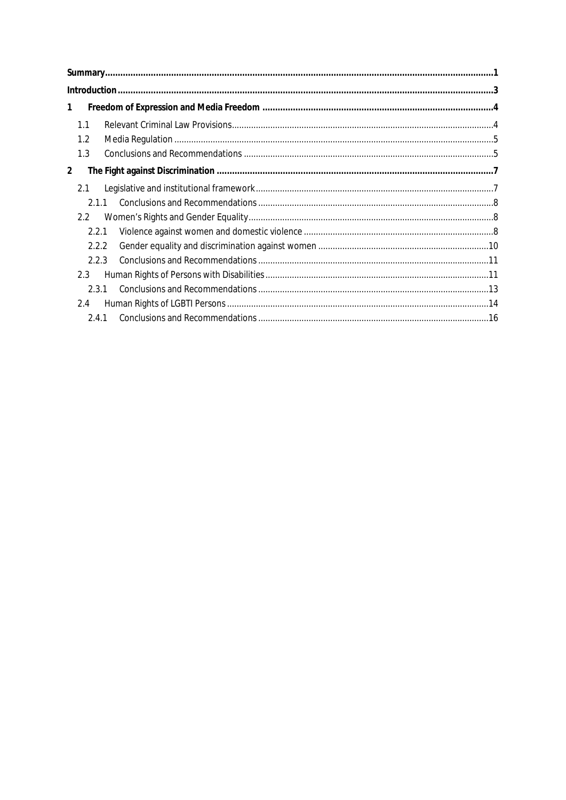| 1 |               |       |  |  |
|---|---------------|-------|--|--|
|   | 1.1           |       |  |  |
|   | 1.2           |       |  |  |
|   | 1.3           |       |  |  |
| 2 |               |       |  |  |
|   | 2.1           |       |  |  |
|   | 211           |       |  |  |
|   | $2.2^{\circ}$ |       |  |  |
|   | 2.2.1         |       |  |  |
|   | 2.2.2         |       |  |  |
|   | 2.2.3         |       |  |  |
|   | 2.3           |       |  |  |
|   | 2.3.1         |       |  |  |
|   | 2.4           |       |  |  |
|   |               | 2.4.1 |  |  |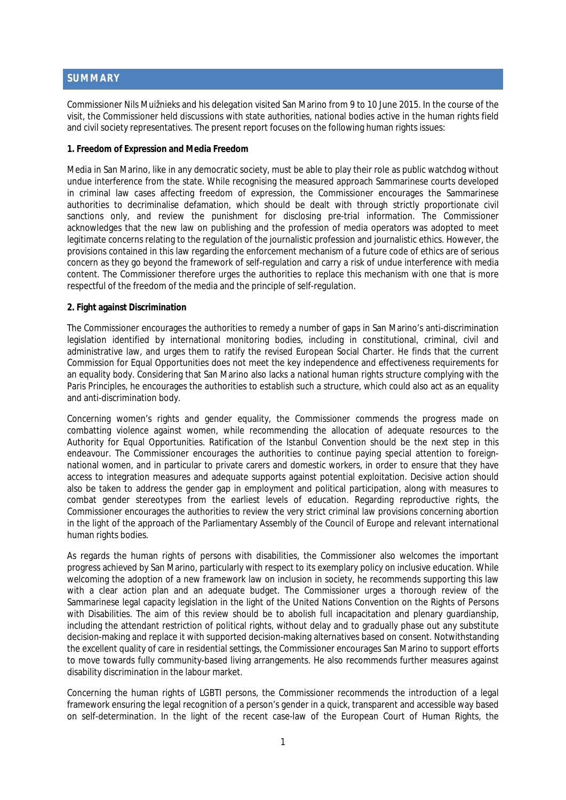### <span id="page-3-0"></span>**SUMMARY**

Commissioner Nils Muižnieks and his delegation visited San Marino from 9 to 10 June 2015. In the course of the visit, the Commissioner held discussions with state authorities, national bodies active in the human rights field and civil society representatives. The present report focuses on the following human rights issues:

#### **1. Freedom of Expression and Media Freedom**

Media in San Marino, like in any democratic society, must be able to play their role as public watchdog without undue interference from the state. While recognising the measured approach Sammarinese courts developed in criminal law cases affecting freedom of expression, the Commissioner encourages the Sammarinese authorities to decriminalise defamation, which should be dealt with through strictly proportionate civil sanctions only, and review the punishment for disclosing pre-trial information. The Commissioner acknowledges that the new law on publishing and the profession of media operators was adopted to meet legitimate concerns relating to the regulation of the journalistic profession and journalistic ethics. However, the provisions contained in this law regarding the enforcement mechanism of a future code of ethics are of serious concern as they go beyond the framework of self-regulation and carry a risk of undue interference with media content. The Commissioner therefore urges the authorities to replace this mechanism with one that is more respectful of the freedom of the media and the principle of self-regulation.

#### **2. Fight against Discrimination**

The Commissioner encourages the authorities to remedy a number of gaps in San Marino's anti-discrimination legislation identified by international monitoring bodies, including in constitutional, criminal, civil and administrative law, and urges them to ratify the revised European Social Charter. He finds that the current Commission for Equal Opportunities does not meet the key independence and effectiveness requirements for an equality body. Considering that San Marino also lacks a national human rights structure complying with the Paris Principles, he encourages the authorities to establish such a structure, which could also act as an equality and anti-discrimination body.

Concerning women's rights and gender equality, the Commissioner commends the progress made on combatting violence against women, while recommending the allocation of adequate resources to the Authority for Equal Opportunities. Ratification of the Istanbul Convention should be the next step in this endeavour. The Commissioner encourages the authorities to continue paying special attention to foreignnational women, and in particular to private carers and domestic workers, in order to ensure that they have access to integration measures and adequate supports against potential exploitation. Decisive action should also be taken to address the gender gap in employment and political participation, along with measures to combat gender stereotypes from the earliest levels of education. Regarding reproductive rights, the Commissioner encourages the authorities to review the very strict criminal law provisions concerning abortion in the light of the approach of the Parliamentary Assembly of the Council of Europe and relevant international human rights bodies.

As regards the human rights of persons with disabilities, the Commissioner also welcomes the important progress achieved by San Marino, particularly with respect to its exemplary policy on inclusive education. While welcoming the adoption of a new framework law on inclusion in society, he recommends supporting this law with a clear action plan and an adequate budget. The Commissioner urges a thorough review of the Sammarinese legal capacity legislation in the light of the United Nations Convention on the Rights of Persons with Disabilities. The aim of this review should be to abolish full incapacitation and plenary guardianship, including the attendant restriction of political rights, without delay and to gradually phase out any substitute decision-making and replace it with supported decision-making alternatives based on consent. Notwithstanding the excellent quality of care in residential settings, the Commissioner encourages San Marino to support efforts to move towards fully community-based living arrangements. He also recommends further measures against disability discrimination in the labour market.

Concerning the human rights of LGBTI persons, the Commissioner recommends the introduction of a legal framework ensuring the legal recognition of a person's gender in a quick, transparent and accessible way based on self-determination. In the light of the recent case-law of the European Court of Human Rights, the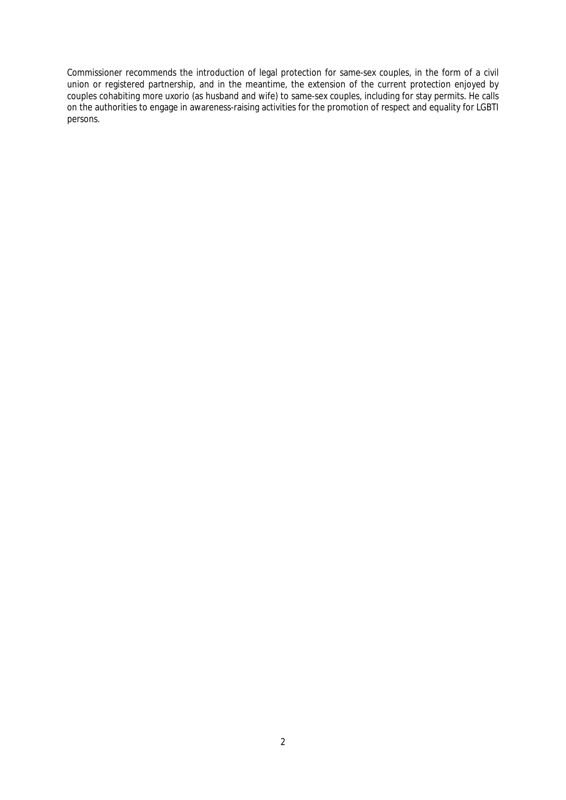Commissioner recommends the introduction of legal protection for same-sex couples, in the form of a civil union or registered partnership, and in the meantime, the extension of the current protection enjoyed by couples cohabiting *more uxorio* (as husband and wife) to same-sex couples, including for stay permits. He calls on the authorities to engage in awareness-raising activities for the promotion of respect and equality for LGBTI persons.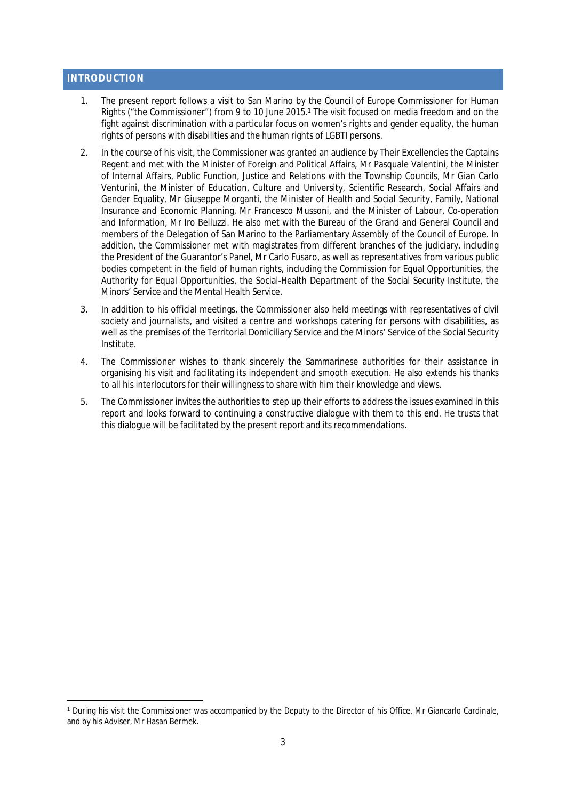#### <span id="page-5-0"></span>**INTRODUCTION**

- 1. The present report follows a visit to San Marino by the Council of Europe Commissioner for Human Rights ("the Commissioner") from 9 to 10 June 2015.<sup>1</sup> The visit focused on media freedom and on the fight against discrimination with a particular focus on women's rights and gender equality, the human rights of persons with disabilities and the human rights of LGBTI persons.
- 2. In the course of his visit, the Commissioner was granted an audience by Their Excellencies the Captains Regent and met with the Minister of Foreign and Political Affairs, Mr Pasquale Valentini, the Minister of Internal Affairs, Public Function, Justice and Relations with the Township Councils, Mr Gian Carlo Venturini, the Minister of Education, Culture and University, Scientific Research, Social Affairs and Gender Equality, Mr Giuseppe Morganti, the Minister of Health and Social Security, Family, National Insurance and Economic Planning, Mr Francesco Mussoni, and the Minister of Labour, Co-operation and Information, Mr Iro Belluzzi. He also met with the Bureau of the Grand and General Council and members of the Delegation of San Marino to the Parliamentary Assembly of the Council of Europe. In addition, the Commissioner met with magistrates from different branches of the judiciary, including the President of the Guarantor's Panel, Mr Carlo Fusaro, as well as representatives from various public bodies competent in the field of human rights, including the Commission for Equal Opportunities, the Authority for Equal Opportunities, the Social-Health Department of the Social Security Institute, the Minors' Service and the Mental Health Service.
- 3. In addition to his official meetings, the Commissioner also held meetings with representatives of civil society and journalists, and visited a centre and workshops catering for persons with disabilities, as well as the premises of the Territorial Domiciliary Service and the Minors' Service of the Social Security Institute.
- 4. The Commissioner wishes to thank sincerely the Sammarinese authorities for their assistance in organising his visit and facilitating its independent and smooth execution. He also extends his thanks to all his interlocutors for their willingness to share with him their knowledge and views.
- 5. The Commissioner invites the authorities to step up their efforts to address the issues examined in this report and looks forward to continuing a constructive dialogue with them to this end. He trusts that this dialogue will be facilitated by the present report and its recommendations.

<sup>&</sup>lt;sup>1</sup> During his visit the Commissioner was accompanied by the Deputy to the Director of his Office, Mr Giancarlo Cardinale, and by his Adviser, Mr Hasan Bermek.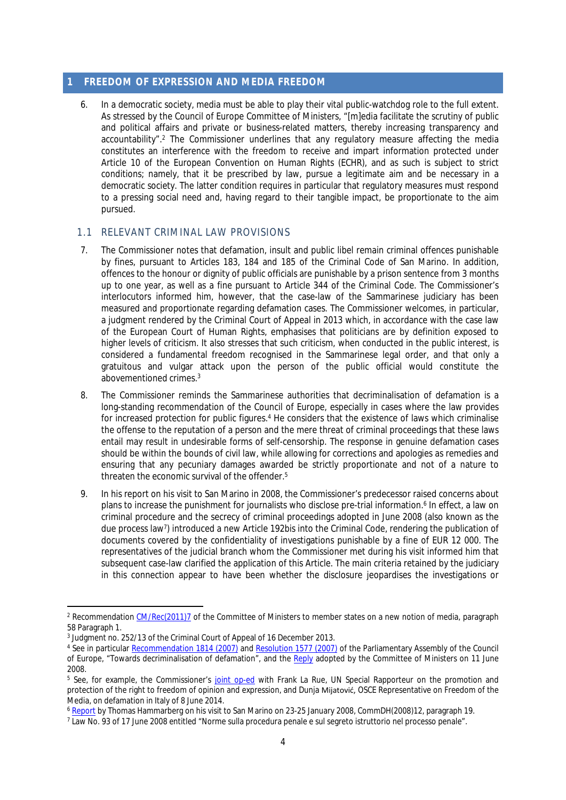#### <span id="page-6-0"></span>**1 FREEDOM OF EXPRESSION AND MEDIA FREEDOM**

6. In a democratic society, media must be able to play their vital public-watchdog role to the full extent. As stressed by the Council of Europe Committee of Ministers, "[m]edia facilitate the scrutiny of public and political affairs and private or business-related matters, thereby increasing transparency and accountability".<sup>2</sup> The Commissioner underlines that any regulatory measure affecting the media constitutes an interference with the freedom to receive and impart information protected under Article 10 of the European Convention on Human Rights (ECHR), and as such is subject to strict conditions; namely, that it be prescribed by law, pursue a legitimate aim and be necessary in a democratic society. The latter condition requires in particular that regulatory measures must respond to a pressing social need and, having regard to their tangible impact, be proportionate to the aim pursued.

#### <span id="page-6-1"></span>1.1 RELEVANT CRIMINAL LAW PROVISIONS

- 7. The Commissioner notes that defamation, insult and public libel remain criminal offences punishable by fines, pursuant to Articles 183, 184 and 185 of the Criminal Code of San Marino. In addition, offences to the honour or dignity of public officials are punishable by a prison sentence from 3 months up to one year, as well as a fine pursuant to Article 344 of the Criminal Code. The Commissioner's interlocutors informed him, however, that the case-law of the Sammarinese judiciary has been measured and proportionate regarding defamation cases. The Commissioner welcomes, in particular, a judgment rendered by the Criminal Court of Appeal in 2013 which, in accordance with the case law of the European Court of Human Rights, emphasises that politicians are by definition exposed to higher levels of criticism. It also stresses that such criticism, when conducted in the public interest, is considered a fundamental freedom recognised in the Sammarinese legal order, and that only a gratuitous and vulgar attack upon the person of the public official would constitute the abovementioned crimes.<sup>3</sup>
- 8. The Commissioner reminds the Sammarinese authorities that decriminalisation of defamation is a long-standing recommendation of the Council of Europe, especially in cases where the law provides for increased protection for public figures.<sup>4</sup> He considers that the existence of laws which criminalise the offense to the reputation of a person and the mere threat of criminal proceedings that these laws entail may result in undesirable forms of self-censorship. The response in genuine defamation cases should be within the bounds of civil law, while allowing for corrections and apologies as remedies and ensuring that any pecuniary damages awarded be strictly proportionate and not of a nature to threaten the economic survival of the offender.<sup>5</sup>
- 9. In his report on his visit to San Marino in 2008, the Commissioner's predecessor raised concerns about plans to increase the punishment for journalists who disclose pre-trial information.<sup>6</sup> In effect, a law on criminal procedure and the secrecy of criminal proceedings adopted in June 2008 (also known as the due process law<sup>7</sup> ) introduced a new Article 192*bis* into the Criminal Code, rendering the publication of documents covered by the confidentiality of investigations punishable by a fine of EUR 12 000. The representatives of the judicial branch whom the Commissioner met during his visit informed him that subsequent case-law clarified the application of this Article. The main criteria retained by the judiciary in this connection appear to have been whether the disclosure jeopardises the investigations or

<sup>&</sup>lt;sup>2</sup> Recommendation [CM/Rec\(2011\)7](tps://wcd.coe.int/ViewDoc.jsp?id=1835645&Site=CM&BackColorInternet=C3C3C3&BackColorIntranet=EDB021&BackColorLogged=F5D383) of the Committee of Ministers to member states on a new notion of media, paragraph 58 Paragraph 1.

<sup>3</sup> Judgment no. 252/13 of the Criminal Court of Appeal of 16 December 2013.

<sup>&</sup>lt;sup>4</sup> See in particular <u>Recommendation 1814 (2007)</u> and [Resolution 1577 \(2007\)](http://assembly.coe.int/nw/xml/XRef/Xref-XML2HTML-en.asp?fileid=17588&lang=en) of the Parliamentary Assembly of the Council of Europe, "Towards decriminalisation of defamation", and the [Reply](https://wcd.coe.int/ViewDoc.jsp?Ref=CM/AS%282008%29Rec1814&Language=lanEnglish&Ver=final) adopted by the Committee of Ministers on 11 June 2008.

<sup>&</sup>lt;sup>5</sup> See, for example, the Commissioner's [joint op-ed](http://www.coe.int/en/web/commissioner/-/defamation-in-italy-a-draft-law-to-be-changed?redirect=http://www.coe.int/en/web/commissioner/opinion-articles%3Fp_p_id%3D101_INSTANCE_qk0cwIowET3l%26p_p_lifecycle%3D0%26p_p_state%3Dnormal%26p_p_mode%3Dview%26p_p_col_id%3Dcolumn-1%26p_p_col_count%3D1#qk0cwIowET3l) with Frank La Rue, UN Special Rapporteur on the promotion and protection of the right to freedom of opinion and expression, and Dunja Mijatović, OSCE Representative on Freedom of the Media, on defamation in Italy of 8 June 2014.

<sup>6</sup> [Report](https://wcd.coe.int/ViewDoc.jsp?id=1283547) by Thomas Hammarberg on his visit to San Marino on 23-25 January 2008, CommDH(2008)12, paragraph 19.

<sup>7</sup> Law No. 93 of 17 June 2008 entitled "Norme sulla procedura penale e sul segreto istruttorio nel processo penale".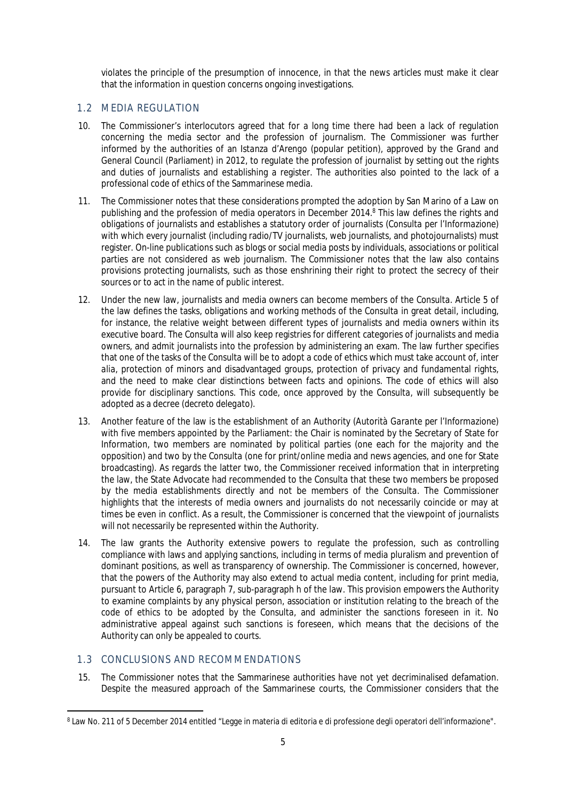violates the principle of the presumption of innocence, in that the news articles must make it clear that the information in question concerns ongoing investigations.

#### <span id="page-7-0"></span>1.2 MEDIA REGULATION

- 10. The Commissioner's interlocutors agreed that for a long time there had been a lack of regulation concerning the media sector and the profession of journalism. The Commissioner was further informed by the authorities of an *Istanza d'Arengo* (popular petition), approved by the Grand and General Council (Parliament) in 2012, to regulate the profession of journalist by setting out the rights and duties of journalists and establishing a register. The authorities also pointed to the lack of a professional code of ethics of the Sammarinese media.
- 11. The Commissioner notes that these considerations prompted the adoption by San Marino of a Law on publishing and the profession of media operators in December 2014.<sup>8</sup> This law defines the rights and obligations of journalists and establishes a statutory order of journalists (*Consulta per l'Informazione*) with which every journalist (including radio/TV journalists, web journalists, and photojournalists) must register. On-line publications such as blogs or social media posts by individuals, associations or political parties are not considered as web journalism. The Commissioner notes that the law also contains provisions protecting journalists, such as those enshrining their right to protect the secrecy of their sources or to act in the name of public interest.
- 12. Under the new law, journalists and media owners can become members of the *Consulta*. Article 5 of the law defines the tasks, obligations and working methods of the *Consulta* in great detail, including, for instance, the relative weight between different types of journalists and media owners within its executive board. The *Consulta* will also keep registries for different categories of journalists and media owners, and admit journalists into the profession by administering an exam. The law further specifies that one of the tasks of the *Consulta* will be to adopt a code of ethics which must take account of, *inter alia*, protection of minors and disadvantaged groups, protection of privacy and fundamental rights, and the need to make clear distinctions between facts and opinions. The code of ethics will also provide for disciplinary sanctions. This code, once approved by the *Consulta*, will subsequently be adopted as a decree (*decreto delegato*).
- 13. Another feature of the law is the establishment of an Authority (*Autorità Garante per l'Informazione*) with five members appointed by the Parliament: the Chair is nominated by the Secretary of State for Information, two members are nominated by political parties (one each for the majority and the opposition) and two by the *Consulta* (one for print/online media and news agencies, and one for State broadcasting). As regards the latter two, the Commissioner received information that in interpreting the law, the State Advocate had recommended to the *Consulta* that these two members be proposed by the media establishments directly and not be members of the *Consulta*. The Commissioner highlights that the interests of media owners and journalists do not necessarily coincide or may at times be even in conflict. As a result, the Commissioner is concerned that the viewpoint of journalists will not necessarily be represented within the Authority.
- 14. The law grants the Authority extensive powers to regulate the profession, such as controlling compliance with laws and applying sanctions, including in terms of media pluralism and prevention of dominant positions, as well as transparency of ownership. The Commissioner is concerned, however, that the powers of the Authority may also extend to actual media content, including for print media, pursuant to Article 6, paragraph 7, sub-paragraph h of the law. This provision empowers the Authority to examine complaints by any physical person, association or institution relating to the breach of the code of ethics to be adopted by the *Consulta*, and administer the sanctions foreseen in it. No administrative appeal against such sanctions is foreseen, which means that the decisions of the Authority can only be appealed to courts.

## <span id="page-7-1"></span>1.3 CONCLUSIONS AND RECOMMENDATIONS

15. The Commissioner notes that the Sammarinese authorities have not yet decriminalised defamation. Despite the measured approach of the Sammarinese courts, the Commissioner considers that the

<sup>8</sup> Law No. 211 of 5 December 2014 entitled "Legge in materia di editoria e di professione degli operatori dell'informazione".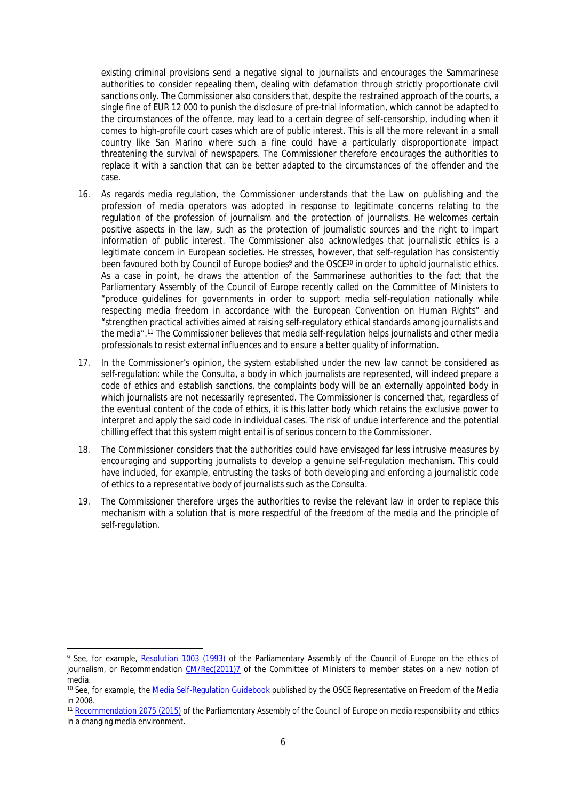existing criminal provisions send a negative signal to journalists and encourages the Sammarinese authorities to consider repealing them, dealing with defamation through strictly proportionate civil sanctions only. The Commissioner also considers that, despite the restrained approach of the courts, a single fine of EUR 12 000 to punish the disclosure of pre-trial information, which cannot be adapted to the circumstances of the offence, may lead to a certain degree of self-censorship, including when it comes to high-profile court cases which are of public interest. This is all the more relevant in a small country like San Marino where such a fine could have a particularly disproportionate impact threatening the survival of newspapers. The Commissioner therefore encourages the authorities to replace it with a sanction that can be better adapted to the circumstances of the offender and the case.

- 16. As regards media regulation, the Commissioner understands that the Law on publishing and the profession of media operators was adopted in response to legitimate concerns relating to the regulation of the profession of journalism and the protection of journalists. He welcomes certain positive aspects in the law, such as the protection of journalistic sources and the right to impart information of public interest. The Commissioner also acknowledges that journalistic ethics is a legitimate concern in European societies. He stresses, however, that self-regulation has consistently been favoured both by Council of Europe bodies<sup>9</sup> and the OSCE<sup>10</sup> in order to uphold journalistic ethics. As a case in point, he draws the attention of the Sammarinese authorities to the fact that the Parliamentary Assembly of the Council of Europe recently called on the Committee of Ministers to "produce guidelines for governments in order to support media self-regulation nationally while respecting media freedom in accordance with the European Convention on Human Rights" and "strengthen practical activities aimed at raising self-regulatory ethical standards among journalists and the media".<sup>11</sup> The Commissioner believes that media self-regulation helps journalists and other media professionals to resist external influences and to ensure a better quality of information.
- 17. In the Commissioner's opinion, the system established under the new law cannot be considered as self-regulation: while the *Consulta*, a body in which journalists are represented, will indeed prepare a code of ethics and establish sanctions, the complaints body will be an externally appointed body in which journalists are not necessarily represented. The Commissioner is concerned that, regardless of the eventual content of the code of ethics, it is this latter body which retains the exclusive power to interpret and apply the said code in individual cases. The risk of undue interference and the potential chilling effect that this system might entail is of serious concern to the Commissioner.
- 18. The Commissioner considers that the authorities could have envisaged far less intrusive measures by encouraging and supporting journalists to develop a genuine self-regulation mechanism. This could have included, for example, entrusting the tasks of both developing and enforcing a journalistic code of ethics to a representative body of journalists such as the *Consulta*.
- 19. The Commissioner therefore urges the authorities to revise the relevant law in order to replace this mechanism with a solution that is more respectful of the freedom of the media and the principle of self-regulation.

<sup>&</sup>lt;sup>9</sup> See, for example, <u>[Resolution 1003 \(1993\)](http://assembly.coe.int/nw/xml/XRef/Xref-DocDetails-EN.asp?FileID=16414&lang=EN)</u> of the Parliamentary Assembly of the Council of Europe on the ethics of journalism, or Recommendation [CM/Rec\(2011\)7](tps://wcd.coe.int/ViewDoc.jsp?id=1835645&Site=CM&BackColorInternet=C3C3C3&BackColorIntranet=EDB021&BackColorLogged=F5D383) of the Committee of Ministers to member states on a new notion of media.

<sup>&</sup>lt;sup>10</sup> See, for example, the [Media Self-Regulation Guidebook](http://www.osce.org/fom/31497) published by the OSCE Representative on Freedom of the Media in 2008.

<sup>11</sup> [Recommendation 2075 \(2015\)](http://assembly.coe.int/nw/xml/XRef/Xref-XML2HTML-en.asp?fileid=21961&lang=en) of the Parliamentary Assembly of the Council of Europe on media responsibility and ethics in a changing media environment.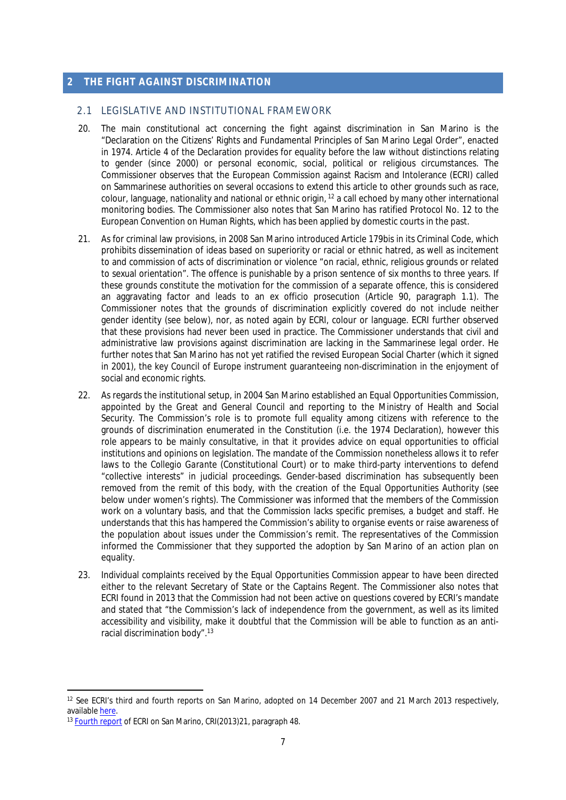#### <span id="page-9-0"></span>**2 THE FIGHT AGAINST DISCRIMINATION**

#### <span id="page-9-1"></span>2.1 LEGISLATIVE AND INSTITUTIONAL FRAMEWORK

- 20. The main constitutional act concerning the fight against discrimination in San Marino is the "Declaration on the Citizens' Rights and Fundamental Principles of San Marino Legal Order", enacted in 1974. Article 4 of the Declaration provides for equality before the law without distinctions relating to gender (since 2000) or personal economic, social, political or religious circumstances. The Commissioner observes that the European Commission against Racism and Intolerance (ECRI) called on Sammarinese authorities on several occasions to extend this article to other grounds such as race, colour, language, nationality and national or ethnic origin, <sup>12</sup> a call echoed by many other international monitoring bodies. The Commissioner also notes that San Marino has ratified Protocol No. 12 to the European Convention on Human Rights, which has been applied by domestic courts in the past.
- 21. As for criminal law provisions, in 2008 San Marino introduced Article 179bis in its Criminal Code, which prohibits dissemination of ideas based on superiority or racial or ethnic hatred, as well as incitement to and commission of acts of discrimination or violence "on racial, ethnic, religious grounds or related to sexual orientation". The offence is punishable by a prison sentence of six months to three years. If these grounds constitute the motivation for the commission of a separate offence, this is considered an aggravating factor and leads to an *ex officio* prosecution (Article 90, paragraph 1.1). The Commissioner notes that the grounds of discrimination explicitly covered do not include neither gender identity (see below), nor, as noted again by ECRI, colour or language. ECRI further observed that these provisions had never been used in practice. The Commissioner understands that civil and administrative law provisions against discrimination are lacking in the Sammarinese legal order. He further notes that San Marino has not yet ratified the revised European Social Charter (which it signed in 2001), the key Council of Europe instrument guaranteeing non-discrimination in the enjoyment of social and economic rights.
- 22. As regards the institutional setup, in 2004 San Marino established an Equal Opportunities Commission, appointed by the Great and General Council and reporting to the Ministry of Health and Social Security. The Commission's role is to promote full equality among citizens with reference to the grounds of discrimination enumerated in the Constitution (i.e. the 1974 Declaration), however this role appears to be mainly consultative, in that it provides advice on equal opportunities to official institutions and opinions on legislation. The mandate of the Commission nonetheless allows it to refer laws to the *Collegio Garante* (Constitutional Court) or to make third-party interventions to defend "collective interests" in judicial proceedings. Gender-based discrimination has subsequently been removed from the remit of this body, with the creation of the Equal Opportunities Authority (see below under women's rights). The Commissioner was informed that the members of the Commission work on a voluntary basis, and that the Commission lacks specific premises, a budget and staff. He understands that this has hampered the Commission's ability to organise events or raise awareness of the population about issues under the Commission's remit. The representatives of the Commission informed the Commissioner that they supported the adoption by San Marino of an action plan on equality.
- 23. Individual complaints received by the Equal Opportunities Commission appear to have been directed either to the relevant Secretary of State or the Captains Regent. The Commissioner also notes that ECRI found in 2013 that the Commission had not been active on questions covered by ECRI's mandate and stated that "the Commission's lack of independence from the government, as well as its limited accessibility and visibility, make it doubtful that the Commission will be able to function as an antiracial discrimination body".<sup>13</sup>

<sup>12</sup> See ECRI's third and fourth reports on San Marino, adopted on 14 December 2007 and 21 March 2013 respectively, available [here.](http://www.coe.int/t/dghl/monitoring/ecri/Country-by-country/San_Marino/SanMarino_CBC_en.asp)

<sup>13</sup> [Fourth report](http://www.coe.int/t/dghl/monitoring/ecri/Country-by-country/San_Marino/SMR-CbC-IV-2013-021-ENG.pdf) of ECRI on San Marino, CRI(2013)21, paragraph 48.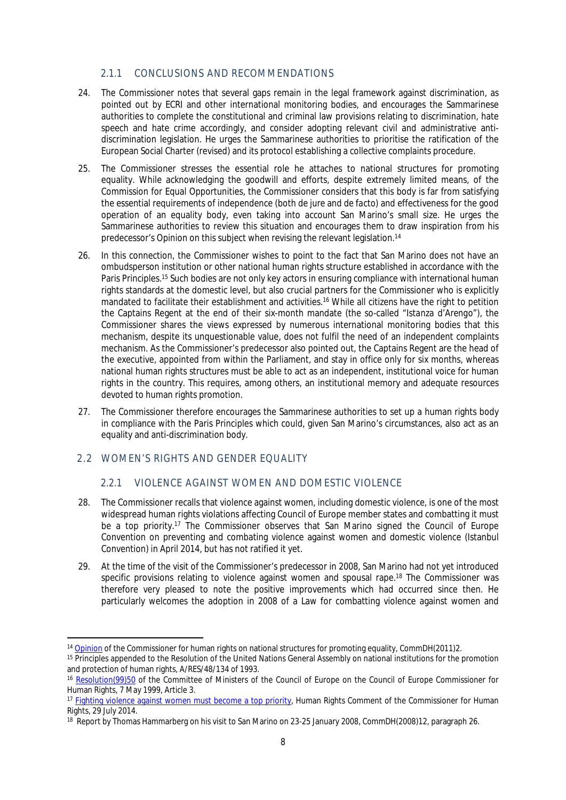### <span id="page-10-0"></span>2.1.1 CONCLUSIONS AND RECOMMENDATIONS

- 24. The Commissioner notes that several gaps remain in the legal framework against discrimination, as pointed out by ECRI and other international monitoring bodies, and encourages the Sammarinese authorities to complete the constitutional and criminal law provisions relating to discrimination, hate speech and hate crime accordingly, and consider adopting relevant civil and administrative antidiscrimination legislation. He urges the Sammarinese authorities to prioritise the ratification of the European Social Charter (revised) and its protocol establishing a collective complaints procedure.
- 25. The Commissioner stresses the essential role he attaches to national structures for promoting equality. While acknowledging the goodwill and efforts, despite extremely limited means, of the Commission for Equal Opportunities, the Commissioner considers that this body is far from satisfying the essential requirements of independence (both *de jure* and *de facto*) and effectiveness for the good operation of an equality body, even taking into account San Marino's small size. He urges the Sammarinese authorities to review this situation and encourages them to draw inspiration from his predecessor's Opinion on this subject when revising the relevant legislation.<sup>14</sup>
- 26. In this connection, the Commissioner wishes to point to the fact that San Marino does not have an ombudsperson institution or other national human rights structure established in accordance with the Paris Principles.<sup>15</sup> Such bodies are not only key actors in ensuring compliance with international human rights standards at the domestic level, but also crucial partners for the Commissioner who is explicitly mandated to facilitate their establishment and activities.<sup>16</sup> While all citizens have the right to petition the Captains Regent at the end of their six-month mandate (the so-called "*Istanza d'Arengo*"), the Commissioner shares the views expressed by numerous international monitoring bodies that this mechanism, despite its unquestionable value, does not fulfil the need of an independent complaints mechanism. As the Commissioner's predecessor also pointed out, the Captains Regent are the head of the executive, appointed from within the Parliament, and stay in office only for six months, whereas national human rights structures must be able to act as an independent, institutional voice for human rights in the country. This requires, among others, an institutional memory and adequate resources devoted to human rights promotion.
- 27. The Commissioner therefore encourages the Sammarinese authorities to set up a human rights body in compliance with the Paris Principles which could, given San Marino's circumstances, also act as an equality and anti-discrimination body.

### <span id="page-10-1"></span>2.2 WOMEN'S RIGHTS AND GENDER EQUALITY

### <span id="page-10-2"></span>2.2.1 VIOLENCE AGAINST WOMEN AND DOMESTIC VIOLENCE

- 28. The Commissioner recalls that violence against women, including domestic violence, is one of the most widespread human rights violations affecting Council of Europe member states and combatting it must be a top priority.<sup>17</sup> The Commissioner observes that San Marino signed the Council of Europe Convention on preventing and combating violence against women and domestic violence (Istanbul Convention) in April 2014, but has not ratified it yet.
- 29. At the time of the visit of the Commissioner's predecessor in 2008, San Marino had not yet introduced specific provisions relating to violence against women and spousal rape.<sup>18</sup> The Commissioner was therefore very pleased to note the positive improvements which had occurred since then. He particularly welcomes the adoption in 2008 of a Law for combatting violence against women and

<sup>&</sup>lt;sup>14</sup> [Opinion](https://wcd.coe.int/ViewDoc.jsp?id=1761031&Site=COE&BackColorInternet=DBDCF2&BackColorIntranet=FDC864&BackColorLogged=FDC864#P296_48863) of the Commissioner for human rights on national structures for promoting equality, CommDH(2011)2.

<sup>&</sup>lt;sup>15</sup> Principles appended to the Resolution of the United Nations General Assembly on national institutions for the promotion and protection of human rights, A/RES/48/134 of 1993.

<sup>16</sup> [Resolution\(99\)50](https://wcd.coe.int/ViewDoc.jsp?id=458513) of the Committee of Ministers of the Council of Europe on the Council of Europe Commissioner for Human Rights, 7 May 1999, Article 3.

<sup>&</sup>lt;sup>17</sup> [Fighting violence against women must become a top priority](http://www.coe.int/en/web/commissioner/-/fighting-violence-against-women-must-become-a-top-priority), Human Rights Comment of the Commissioner for Human Rights, 29 July 2014.

<sup>&</sup>lt;sup>18</sup> Report by Thomas Hammarberg on his visit to San Marino on 23-25 January 2008, CommDH(2008)12, paragraph 26.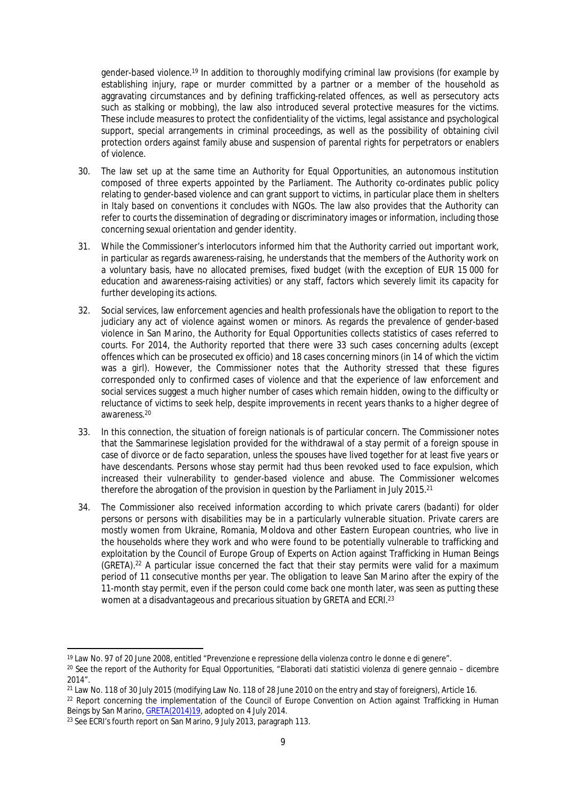gender-based violence.<sup>19</sup> In addition to thoroughly modifying criminal law provisions (for example by establishing injury, rape or murder committed by a partner or a member of the household as aggravating circumstances and by defining trafficking-related offences, as well as persecutory acts such as stalking or mobbing), the law also introduced several protective measures for the victims. These include measures to protect the confidentiality of the victims, legal assistance and psychological support, special arrangements in criminal proceedings, as well as the possibility of obtaining civil protection orders against family abuse and suspension of parental rights for perpetrators or enablers of violence.

- 30. The law set up at the same time an Authority for Equal Opportunities, an autonomous institution composed of three experts appointed by the Parliament. The Authority co-ordinates public policy relating to gender-based violence and can grant support to victims, in particular place them in shelters in Italy based on conventions it concludes with NGOs. The law also provides that the Authority can refer to courts the dissemination of degrading or discriminatory images or information, including those concerning sexual orientation and gender identity.
- 31. While the Commissioner's interlocutors informed him that the Authority carried out important work, in particular as regards awareness-raising, he understands that the members of the Authority work on a voluntary basis, have no allocated premises, fixed budget (with the exception of EUR 15 000 for education and awareness-raising activities) or any staff, factors which severely limit its capacity for further developing its actions.
- 32. Social services, law enforcement agencies and health professionals have the obligation to report to the judiciary any act of violence against women or minors. As regards the prevalence of gender-based violence in San Marino, the Authority for Equal Opportunities collects statistics of cases referred to courts. For 2014, the Authority reported that there were 33 such cases concerning adults (except offences which can be prosecuted *ex officio*) and 18 cases concerning minors (in 14 of which the victim was a girl). However, the Commissioner notes that the Authority stressed that these figures corresponded only to confirmed cases of violence and that the experience of law enforcement and social services suggest a much higher number of cases which remain hidden, owing to the difficulty or reluctance of victims to seek help, despite improvements in recent years thanks to a higher degree of awareness.<sup>20</sup>
- 33. In this connection, the situation of foreign nationals is of particular concern. The Commissioner notes that the Sammarinese legislation provided for the withdrawal of a stay permit of a foreign spouse in case of divorce or *de facto* separation, unless the spouses have lived together for at least five years or have descendants. Persons whose stay permit had thus been revoked used to face expulsion, which increased their vulnerability to gender-based violence and abuse. The Commissioner welcomes therefore the abrogation of the provision in question by the Parliament in July 2015.<sup>21</sup>
- 34. The Commissioner also received information according to which private carers (*badanti*) for older persons or persons with disabilities may be in a particularly vulnerable situation. Private carers are mostly women from Ukraine, Romania, Moldova and other Eastern European countries, who live in the households where they work and who were found to be potentially vulnerable to trafficking and exploitation by the Council of Europe Group of Experts on Action against Trafficking in Human Beings (GRETA).<sup>22</sup> A particular issue concerned the fact that their stay permits were valid for a maximum period of 11 consecutive months per year. The obligation to leave San Marino after the expiry of the 11-month stay permit, even if the person could come back one month later, was seen as putting these women at a disadvantageous and precarious situation by GRETA and ECRI.<sup>23</sup>

<sup>19</sup> Law No. 97 of 20 June 2008, entitled "Prevenzione e repressione della violenza contro le donne e di genere".

<sup>20</sup> See the report of the Authority for Equal Opportunities, *"Elaborati dati statistici violenza di genere gennaio – dicembre 2014*".

<sup>&</sup>lt;sup>21</sup> Law No. 118 of 30 July 2015 (modifying Law No. 118 of 28 June 2010 on the entry and stay of foreigners), Article 16.

<sup>&</sup>lt;sup>22</sup> Report concerning the implementation of the Council of Europe Convention on Action against Trafficking in Human Beings by San Marino, [GRETA\(2014\)19,](http://www.coe.int/t/dghl/monitoring/trafficking/Docs/Reports/GRETA_2014_19_FGR_SMR_w_cmnts_en.pdf) adopted on 4 July 2014.

<sup>&</sup>lt;sup>23</sup> See ECRI's fourth report on San Marino, 9 July 2013, paragraph 113.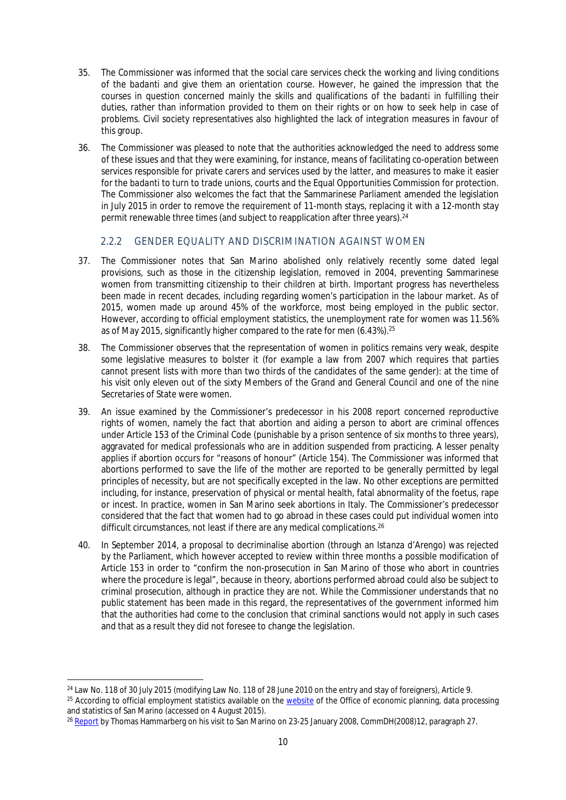- 35. The Commissioner was informed that the social care services check the working and living conditions of the *badanti* and give them an orientation course. However, he gained the impression that the courses in question concerned mainly the skills and qualifications of the *badanti* in fulfilling their duties, rather than information provided to them on their rights or on how to seek help in case of problems. Civil society representatives also highlighted the lack of integration measures in favour of this group.
- 36. The Commissioner was pleased to note that the authorities acknowledged the need to address some of these issues and that they were examining, for instance, means of facilitating co-operation between services responsible for private carers and services used by the latter, and measures to make it easier for the *badanti* to turn to trade unions, courts and the Equal Opportunities Commission for protection. The Commissioner also welcomes the fact that the Sammarinese Parliament amended the legislation in July 2015 in order to remove the requirement of 11-month stays, replacing it with a 12-month stay permit renewable three times (and subject to reapplication after three years).<sup>24</sup>

## <span id="page-12-0"></span>2.2.2 GENDER EQUALITY AND DISCRIMINATION AGAINST WOMEN

- 37. The Commissioner notes that San Marino abolished only relatively recently some dated legal provisions, such as those in the citizenship legislation, removed in 2004, preventing Sammarinese women from transmitting citizenship to their children at birth. Important progress has nevertheless been made in recent decades, including regarding women's participation in the labour market. As of 2015, women made up around 45% of the workforce, most being employed in the public sector. However, according to official employment statistics, the unemployment rate for women was 11.56% as of May 2015, significantly higher compared to the rate for men (6.43%).<sup>25</sup>
- 38. The Commissioner observes that the representation of women in politics remains very weak, despite some legislative measures to bolster it (for example a law from 2007 which requires that parties cannot present lists with more than two thirds of the candidates of the same gender): at the time of his visit only eleven out of the sixty Members of the Grand and General Council and one of the nine Secretaries of State were women.
- 39. An issue examined by the Commissioner's predecessor in his 2008 report concerned reproductive rights of women, namely the fact that abortion and aiding a person to abort are criminal offences under Article 153 of the Criminal Code (punishable by a prison sentence of six months to three years), aggravated for medical professionals who are in addition suspended from practicing. A lesser penalty applies if abortion occurs for "reasons of honour" (Article 154). The Commissioner was informed that abortions performed to save the life of the mother are reported to be generally permitted by legal principles of necessity, but are not specifically excepted in the law. No other exceptions are permitted including, for instance, preservation of physical or mental health, fatal abnormality of the foetus, rape or incest. In practice, women in San Marino seek abortions in Italy. The Commissioner's predecessor considered that the fact that women had to go abroad in these cases could put individual women into difficult circumstances, not least if there are any medical complications.<sup>26</sup>
- 40. In September 2014, a proposal to decriminalise abortion (through an *Istanza d'Arengo*) was rejected by the Parliament, which however accepted to review within three months a possible modification of Article 153 in order to "confirm the non-prosecution in San Marino of those who abort in countries where the procedure is legal", because in theory, abortions performed abroad could also be subject to criminal prosecution, although in practice they are not. While the Commissioner understands that no public statement has been made in this regard, the representatives of the government informed him that the authorities had come to the conclusion that criminal sanctions would not apply in such cases and that as a result they did not foresee to change the legislation.

<sup>&</sup>lt;sup>24</sup> Law No. 118 of 30 July 2015 (modifying Law No. 118 of 28 June 2010 on the entry and stay of foreigners), Article 9. <sup>25</sup> According to official employment statistics available on the [website](http://www.statistica.sm/on-line/en/home/statistics/employment-and-unemployment.html?Categoria=3&nodo=/on-line/en/home/statistics/employment-and-unemployment/unemployment.html) of the Office of economic planning, data processing and statistics of San Marino (accessed on 4 August 2015).

<sup>&</sup>lt;sup>26</sup> [Report](https://wcd.coe.int/ViewDoc.jsp?id=1283547) by Thomas Hammarberg on his visit to San Marino on 23-25 January 2008, CommDH(2008)12, paragraph 27.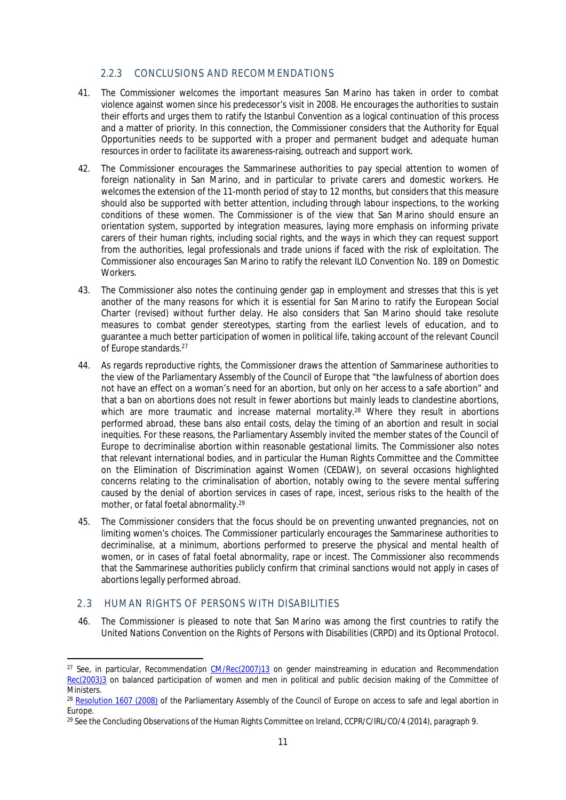### <span id="page-13-0"></span>2.2.3 CONCLUSIONS AND RECOMMENDATIONS

- 41. The Commissioner welcomes the important measures San Marino has taken in order to combat violence against women since his predecessor's visit in 2008. He encourages the authorities to sustain their efforts and urges them to ratify the Istanbul Convention as a logical continuation of this process and a matter of priority. In this connection, the Commissioner considers that the Authority for Equal Opportunities needs to be supported with a proper and permanent budget and adequate human resources in order to facilitate its awareness-raising, outreach and support work.
- 42. The Commissioner encourages the Sammarinese authorities to pay special attention to women of foreign nationality in San Marino, and in particular to private carers and domestic workers. He welcomes the extension of the 11-month period of stay to 12 months, but considers that this measure should also be supported with better attention, including through labour inspections, to the working conditions of these women. The Commissioner is of the view that San Marino should ensure an orientation system, supported by integration measures, laying more emphasis on informing private carers of their human rights, including social rights, and the ways in which they can request support from the authorities, legal professionals and trade unions if faced with the risk of exploitation. The Commissioner also encourages San Marino to ratify the relevant ILO Convention No. 189 on Domestic Workers.
- 43. The Commissioner also notes the continuing gender gap in employment and stresses that this is yet another of the many reasons for which it is essential for San Marino to ratify the European Social Charter (revised) without further delay. He also considers that San Marino should take resolute measures to combat gender stereotypes, starting from the earliest levels of education, and to guarantee a much better participation of women in political life, taking account of the relevant Council of Europe standards.<sup>27</sup>
- 44. As regards reproductive rights, the Commissioner draws the attention of Sammarinese authorities to the view of the Parliamentary Assembly of the Council of Europe that "the lawfulness of abortion does not have an effect on a woman's need for an abortion, but only on her access to a safe abortion" and that a ban on abortions does not result in fewer abortions but mainly leads to clandestine abortions, which are more traumatic and increase maternal mortality.<sup>28</sup> Where they result in abortions performed abroad, these bans also entail costs, delay the timing of an abortion and result in social inequities. For these reasons, the Parliamentary Assembly invited the member states of the Council of Europe to decriminalise abortion within reasonable gestational limits. The Commissioner also notes that relevant international bodies, and in particular the Human Rights Committee and the Committee on the Elimination of Discrimination against Women (CEDAW), on several occasions highlighted concerns relating to the criminalisation of abortion, notably owing to the severe mental suffering caused by the denial of abortion services in cases of rape, incest, serious risks to the health of the mother, or fatal foetal abnormality.<sup>29</sup>
- 45. The Commissioner considers that the focus should be on preventing unwanted pregnancies, not on limiting women's choices. The Commissioner particularly encourages the Sammarinese authorities to decriminalise, at a minimum, abortions performed to preserve the physical and mental health of women, or in cases of fatal foetal abnormality, rape or incest. The Commissioner also recommends that the Sammarinese authorities publicly confirm that criminal sanctions would not apply in cases of abortions legally performed abroad.

### <span id="page-13-1"></span>2.3 HUMAN RIGHTS OF PERSONS WITH DISABILITIES

46. The Commissioner is pleased to note that San Marino was among the first countries to ratify the United Nations Convention on the Rights of Persons with Disabilities (CRPD) and its Optional Protocol.

<sup>&</sup>lt;sup>27</sup> See, in particular, Recommendation [CM/Rec\(2007\)13](https://wcd.coe.int/ViewDoc.jsp?id=1194631&Site=CM) on gender mainstreaming in education and Recommendation [Rec\(2003\)3](https://wcd.coe.int/ViewDoc.jsp?Ref=Rec%282003%293&Language=lanEnglish&Site=CM&BackColorInternet=DBDCF2&BackColorIntranet=FDC864&BackColorLogged=FDC864) on balanced participation of women and men in political and public decision making of the Committee of Ministers.

<sup>&</sup>lt;sup>28</sup> [Resolution 1607 \(2008\)](http://assembly.coe.int/nw/xml/XRef/Xref-XML2HTML-en.asp?fileid=17638&lang=en) of the Parliamentary Assembly of the Council of Europe on access to safe and legal abortion in Europe.

<sup>&</sup>lt;sup>29</sup> See the Concluding Observations of the Human Rights Committee on Ireland, CCPR/C/IRL/CO/4 (2014), paragraph 9.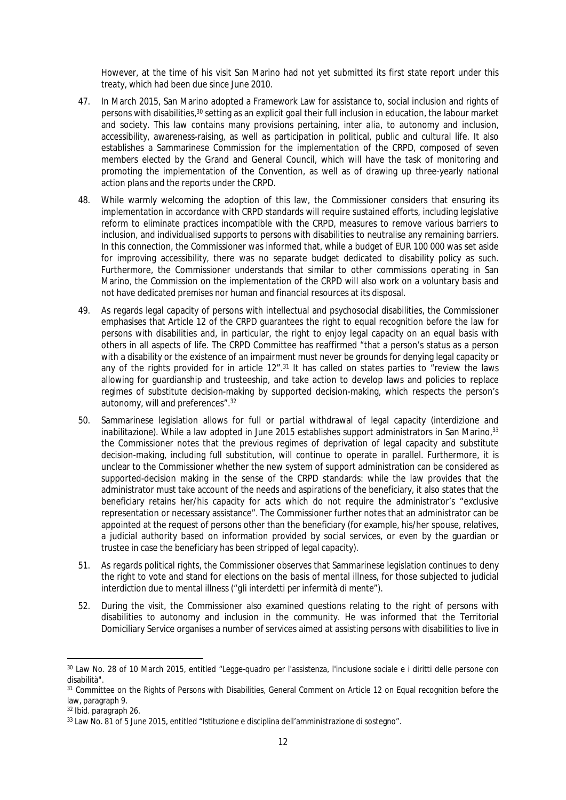However, at the time of his visit San Marino had not yet submitted its first state report under this treaty, which had been due since June 2010.

- 47. In March 2015, San Marino adopted a Framework Law for assistance to, social inclusion and rights of persons with disabilities,<sup>30</sup> setting as an explicit goal their full inclusion in education, the labour market and society. This law contains many provisions pertaining, *inter alia*, to autonomy and inclusion, accessibility, awareness-raising, as well as participation in political, public and cultural life. It also establishes a Sammarinese Commission for the implementation of the CRPD, composed of seven members elected by the Grand and General Council, which will have the task of monitoring and promoting the implementation of the Convention, as well as of drawing up three-yearly national action plans and the reports under the CRPD.
- 48. While warmly welcoming the adoption of this law, the Commissioner considers that ensuring its implementation in accordance with CRPD standards will require sustained efforts, including legislative reform to eliminate practices incompatible with the CRPD, measures to remove various barriers to inclusion, and individualised supports to persons with disabilities to neutralise any remaining barriers. In this connection, the Commissioner was informed that, while a budget of EUR 100 000 was set aside for improving accessibility, there was no separate budget dedicated to disability policy as such. Furthermore, the Commissioner understands that similar to other commissions operating in San Marino, the Commission on the implementation of the CRPD will also work on a voluntary basis and not have dedicated premises nor human and financial resources at its disposal.
- 49. As regards legal capacity of persons with intellectual and psychosocial disabilities, the Commissioner emphasises that Article 12 of the CRPD guarantees the right to equal recognition before the law for persons with disabilities and, in particular, the right to enjoy legal capacity on an equal basis with others in all aspects of life. The CRPD Committee has reaffirmed "that a person's status as a person with a disability or the existence of an impairment must never be grounds for denying legal capacity or any of the rights provided for in article 12".<sup>31</sup> It has called on states parties to "review the laws allowing for guardianship and trusteeship, and take action to develop laws and policies to replace regimes of substitute decision-making by supported decision-making, which respects the person's autonomy, will and preferences".<sup>32</sup>
- 50. Sammarinese legislation allows for full or partial withdrawal of legal capacity (*interdizione* and *inabilitazione*). While a law adopted in June 2015 establishes support administrators in San Marino,<sup>33</sup> the Commissioner notes that the previous regimes of deprivation of legal capacity and substitute decision-making, including full substitution, will continue to operate in parallel. Furthermore, it is unclear to the Commissioner whether the new system of support administration can be considered as supported-decision making in the sense of the CRPD standards: while the law provides that the administrator must take account of the needs and aspirations of the beneficiary, it also states that the beneficiary retains her/his capacity for acts which do not require the administrator's "exclusive representation or necessary assistance". The Commissioner further notes that an administrator can be appointed at the request of persons other than the beneficiary (for example, his/her spouse, relatives, a judicial authority based on information provided by social services, or even by the guardian or trustee in case the beneficiary has been stripped of legal capacity).
- 51. As regards political rights, the Commissioner observes that Sammarinese legislation continues to deny the right to vote and stand for elections on the basis of mental illness, for those subjected to judicial interdiction due to mental illness ("*gli interdetti per infermità di mente"*).
- 52. During the visit, the Commissioner also examined questions relating to the right of persons with disabilities to autonomy and inclusion in the community. He was informed that the Territorial Domiciliary Service organises a number of services aimed at assisting persons with disabilities to live in

<sup>30</sup> Law No. 28 of 10 March 2015, entitled "Legge-quadro per l'assistenza, l'inclusione sociale e i diritti delle persone con disabilità".

<sup>31</sup> Committee on the Rights of Persons with Disabilities, General Comment on Article 12 on Equal recognition before the law, paragraph 9.

<sup>32</sup> *Ibid.* paragraph 26.

<sup>33</sup> Law No. 81 of 5 June 2015, entitled "Istituzione e disciplina dell'amministrazione di sostegno".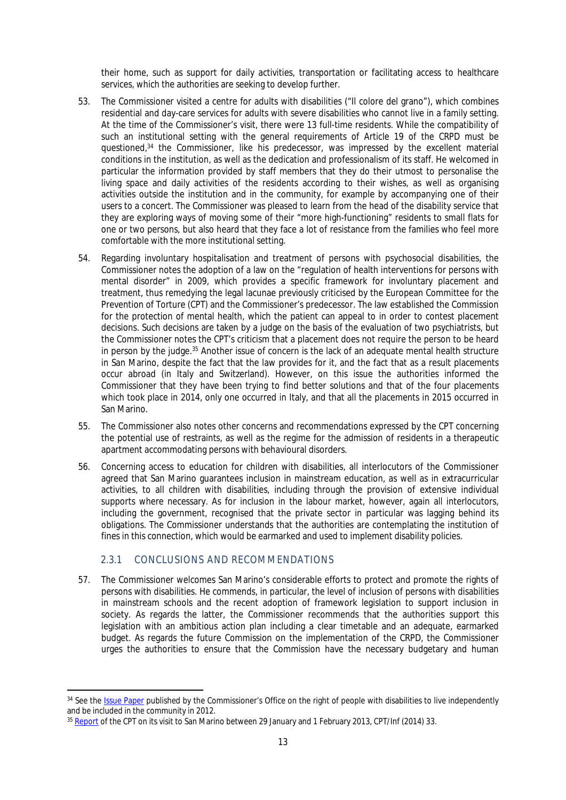their home, such as support for daily activities, transportation or facilitating access to healthcare services, which the authorities are seeking to develop further.

- 53. The Commissioner visited a centre for adults with disabilities ("Il colore del grano"), which combines residential and day-care services for adults with severe disabilities who cannot live in a family setting. At the time of the Commissioner's visit, there were 13 full-time residents. While the compatibility of such an institutional setting with the general requirements of Article 19 of the CRPD must be questioned,<sup>34</sup> the Commissioner, like his predecessor, was impressed by the excellent material conditions in the institution, as well as the dedication and professionalism of its staff. He welcomed in particular the information provided by staff members that they do their utmost to personalise the living space and daily activities of the residents according to their wishes, as well as organising activities outside the institution and in the community, for example by accompanying one of their users to a concert. The Commissioner was pleased to learn from the head of the disability service that they are exploring ways of moving some of their "more high-functioning" residents to small flats for one or two persons, but also heard that they face a lot of resistance from the families who feel more comfortable with the more institutional setting.
- 54. Regarding involuntary hospitalisation and treatment of persons with psychosocial disabilities, the Commissioner notes the adoption of a law on the "regulation of health interventions for persons with mental disorder" in 2009, which provides a specific framework for involuntary placement and treatment, thus remedying the legal lacunae previously criticised by the European Committee for the Prevention of Torture (CPT) and the Commissioner's predecessor. The law established the Commission for the protection of mental health, which the patient can appeal to in order to contest placement decisions. Such decisions are taken by a judge on the basis of the evaluation of two psychiatrists, but the Commissioner notes the CPT's criticism that a placement does not require the person to be heard in person by the judge.<sup>35</sup> Another issue of concern is the lack of an adequate mental health structure in San Marino, despite the fact that the law provides for it, and the fact that as a result placements occur abroad (in Italy and Switzerland). However, on this issue the authorities informed the Commissioner that they have been trying to find better solutions and that of the four placements which took place in 2014, only one occurred in Italy, and that all the placements in 2015 occurred in San Marino.
- 55. The Commissioner also notes other concerns and recommendations expressed by the CPT concerning the potential use of restraints, as well as the regime for the admission of residents in a therapeutic apartment accommodating persons with behavioural disorders.
- 56. Concerning access to education for children with disabilities, all interlocutors of the Commissioner agreed that San Marino guarantees inclusion in mainstream education, as well as in extracurricular activities, to all children with disabilities, including through the provision of extensive individual supports where necessary. As for inclusion in the labour market, however, again all interlocutors, including the government, recognised that the private sector in particular was lagging behind its obligations. The Commissioner understands that the authorities are contemplating the institution of fines in this connection, which would be earmarked and used to implement disability policies.

### <span id="page-15-0"></span>2.3.1 CONCLUSIONS AND RECOMMENDATIONS

57. The Commissioner welcomes San Marino's considerable efforts to protect and promote the rights of persons with disabilities. He commends, in particular, the level of inclusion of persons with disabilities in mainstream schools and the recent adoption of framework legislation to support inclusion in society. As regards the latter, the Commissioner recommends that the authorities support this legislation with an ambitious action plan including a clear timetable and an adequate, earmarked budget. As regards the future Commission on the implementation of the CRPD, the Commissioner urges the authorities to ensure that the Commission have the necessary budgetary and human

<sup>34</sup> See the [Issue Paper](https://wcd.coe.int/ViewDoc.jsp?Ref=CommDH/IssuePaper(2012)3) published by the Commissioner's Office on the right of people with disabilities to live independently and be included in the community in 2012.

<sup>35</sup> [Report](http://www.cpt.coe.int/en/states/smr.htm) of the CPT on its visit to San Marino between 29 January and 1 February 2013, CPT/Inf (2014) 33.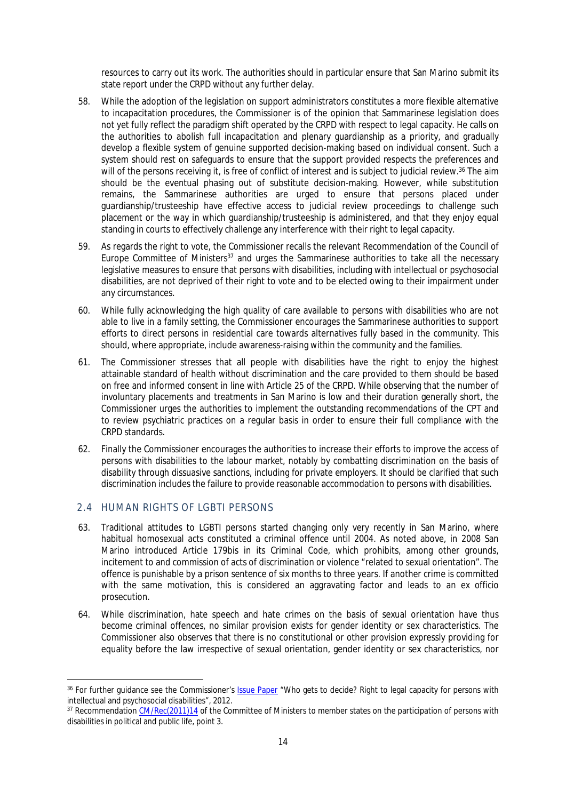resources to carry out its work. The authorities should in particular ensure that San Marino submit its state report under the CRPD without any further delay.

- 58. While the adoption of the legislation on support administrators constitutes a more flexible alternative to incapacitation procedures, the Commissioner is of the opinion that Sammarinese legislation does not yet fully reflect the paradigm shift operated by the CRPD with respect to legal capacity. He calls on the authorities to abolish full incapacitation and plenary guardianship as a priority, and gradually develop a flexible system of genuine supported decision-making based on individual consent. Such a system should rest on safeguards to ensure that the support provided respects the preferences and will of the persons receiving it, is free of conflict of interest and is subject to judicial review.<sup>36</sup> The aim should be the eventual phasing out of substitute decision-making. However, while substitution remains, the Sammarinese authorities are urged to ensure that persons placed under guardianship/trusteeship have effective access to judicial review proceedings to challenge such placement or the way in which guardianship/trusteeship is administered, and that they enjoy equal standing in courts to effectively challenge any interference with their right to legal capacity.
- 59. As regards the right to vote, the Commissioner recalls the relevant Recommendation of the Council of Europe Committee of Ministers<sup>37</sup> and urges the Sammarinese authorities to take all the necessary legislative measures to ensure that persons with disabilities, including with intellectual or psychosocial disabilities, are not deprived of their right to vote and to be elected owing to their impairment under any circumstances.
- 60. While fully acknowledging the high quality of care available to persons with disabilities who are not able to live in a family setting, the Commissioner encourages the Sammarinese authorities to support efforts to direct persons in residential care towards alternatives fully based in the community. This should, where appropriate, include awareness-raising within the community and the families.
- 61. The Commissioner stresses that all people with disabilities have the right to enjoy the highest attainable standard of health without discrimination and the care provided to them should be based on free and informed consent in line with Article 25 of the CRPD. While observing that the number of involuntary placements and treatments in San Marino is low and their duration generally short, the Commissioner urges the authorities to implement the outstanding recommendations of the CPT and to review psychiatric practices on a regular basis in order to ensure their full compliance with the CRPD standards.
- 62. Finally the Commissioner encourages the authorities to increase their efforts to improve the access of persons with disabilities to the labour market, notably by combatting discrimination on the basis of disability through dissuasive sanctions, including for private employers. It should be clarified that such discrimination includes the failure to provide reasonable accommodation to persons with disabilities.

### <span id="page-16-0"></span>2.4 HUMAN RIGHTS OF LGBTI PERSONS

- 63. Traditional attitudes to LGBTI persons started changing only very recently in San Marino, where habitual homosexual acts constituted a criminal offence until 2004. As noted above, in 2008 San Marino introduced Article 179bis in its Criminal Code, which prohibits, among other grounds, incitement to and commission of acts of discrimination or violence "related to sexual orientation". The offence is punishable by a prison sentence of six months to three years. If another crime is committed with the same motivation, this is considered an aggravating factor and leads to an *ex officio* prosecution.
- 64. While discrimination, hate speech and hate crimes on the basis of sexual orientation have thus become criminal offences, no similar provision exists for gender identity or sex characteristics. The Commissioner also observes that there is no constitutional or other provision expressly providing for equality before the law irrespective of sexual orientation, gender identity or sex characteristics, nor

<sup>36</sup> For further guidance see the Commissioner's [Issue Paper](https://wcd.coe.int/ViewDoc.jsp?Ref=CommDH/IssuePaper%282012%292&Language=lanEnglish&Ver=original&Site=COE&BackColorInternet=DBDCF2&BackColorIntranet=FDC864&BackColorLogged=FDC864) "Who gets to decide? Right to legal capacity for persons with intellectual and psychosocial disabilities", 2012.

<sup>&</sup>lt;sup>37</sup> Recommendation [CM/Rec\(2011\)14](https://wcd.coe.int/ViewDoc.jsp?id=1871285&Site=CM) of the Committee of Ministers to member states on the participation of persons with disabilities in political and public life, point 3.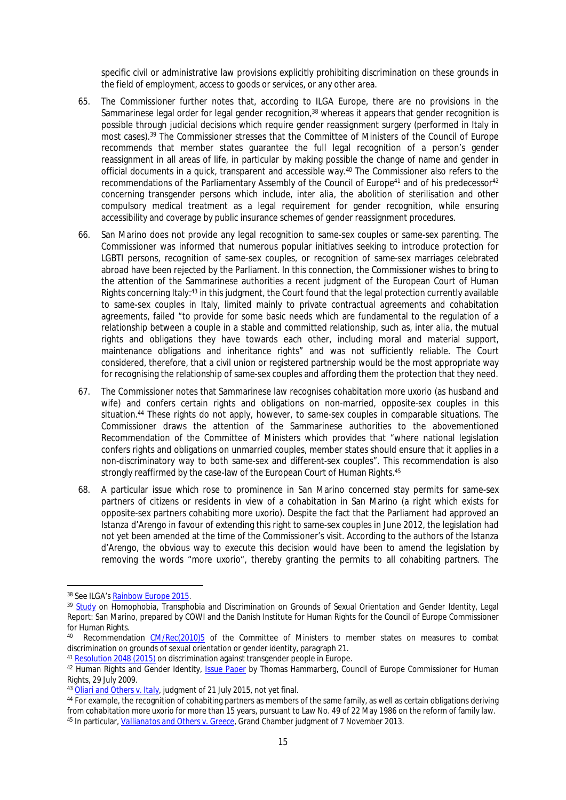specific civil or administrative law provisions explicitly prohibiting discrimination on these grounds in the field of employment, access to goods or services, or any other area.

- 65. The Commissioner further notes that, according to ILGA Europe, there are no provisions in the Sammarinese legal order for legal gender recognition,<sup>38</sup> whereas it appears that gender recognition is possible through judicial decisions which require gender reassignment surgery (performed in Italy in most cases).<sup>39</sup> The Commissioner stresses that the Committee of Ministers of the Council of Europe recommends that member states guarantee the full legal recognition of a person's gender reassignment in all areas of life, in particular by making possible the change of name and gender in official documents in a quick, transparent and accessible way.<sup>40</sup> The Commissioner also refers to the recommendations of the Parliamentary Assembly of the Council of Europe<sup>41</sup> and of his predecessor<sup>42</sup> concerning transgender persons which include, *inter alia*, the abolition of sterilisation and other compulsory medical treatment as a legal requirement for gender recognition, while ensuring accessibility and coverage by public insurance schemes of gender reassignment procedures.
- 66. San Marino does not provide any legal recognition to same-sex couples or same-sex parenting. The Commissioner was informed that numerous popular initiatives seeking to introduce protection for LGBTI persons, recognition of same-sex couples, or recognition of same-sex marriages celebrated abroad have been rejected by the Parliament. In this connection, the Commissioner wishes to bring to the attention of the Sammarinese authorities a recent judgment of the European Court of Human Rights concerning Italy:<sup>43</sup> in this judgment, the Court found that the legal protection currently available to same-sex couples in Italy, limited mainly to private contractual agreements and cohabitation agreements, failed "to provide for some basic needs which are fundamental to the regulation of a relationship between a couple in a stable and committed relationship, such as, *inter alia*, the mutual rights and obligations they have towards each other, including moral and material support, maintenance obligations and inheritance rights" and was not sufficiently reliable. The Court considered, therefore, that a civil union or registered partnership would be the most appropriate way for recognising the relationship of same-sex couples and affording them the protection that they need.
- 67. The Commissioner notes that Sammarinese law recognises cohabitation *more uxorio* (as husband and wife) and confers certain rights and obligations on non-married, opposite-sex couples in this situation.<sup>44</sup> These rights do not apply, however, to same-sex couples in comparable situations. The Commissioner draws the attention of the Sammarinese authorities to the abovementioned Recommendation of the Committee of Ministers which provides that "where national legislation confers rights and obligations on unmarried couples, member states should ensure that it applies in a non-discriminatory way to both same-sex and different-sex couples". This recommendation is also strongly reaffirmed by the case-law of the European Court of Human Rights.<sup>45</sup>
- 68. A particular issue which rose to prominence in San Marino concerned stay permits for same-sex partners of citizens or residents in view of a cohabitation in San Marino (a right which exists for opposite-sex partners cohabiting *more uxorio*). Despite the fact that the Parliament had approved an *Istanza d'Arengo* in favour of extending this right to same-sex couples in June 2012, the legislation had not yet been amended at the time of the Commissioner's visit. According to the authors of the *Istanza d'Arengo*, the obvious way to execute this decision would have been to amend the legislation by removing the words "*more uxorio*", thereby granting the permits to all cohabiting partners. The

<sup>41</sup> [Resolution 2048 \(2015\)](http://assembly.coe.int/nw/xml/XRef/Xref-XML2HTML-en.asp?fileid=21736&lang=en) on discrimination against transgender people in Europe.

<sup>38</sup> See ILGA's [Rainbow Europe 2015](http://ilga-europe.org/resources/rainbow-europe/2015).

<sup>&</sup>lt;sup>39</sup> [Study](http://www.coe.int/t/Commissioner/Source/LGBT/SanMarinoLegal_E.pdf) on Homophobia, Transphobia and Discrimination on Grounds of Sexual Orientation and Gender Identity, Legal Report: San Marino, prepared by COWI and the Danish Institute for Human Rights for the Council of Europe Commissioner for Human Rights.

<sup>40</sup> Recommendation [CM/Rec\(2010\)5](https://wcd.coe.int/ViewDoc.jsp?id=1606669) of the Committee of Ministers to member states on measures to combat discrimination on grounds of sexual orientation or gender identity, paragraph 21.

<sup>42</sup> Human Rights and Gender Identity, [Issue Paper](https://wcd.coe.int/ViewDoc.jsp?id=1476365#P277_71330) by Thomas Hammarberg, Council of Europe Commissioner for Human Rights, 29 July 2009.

<sup>43</sup> *[Oliari and Others v. Italy](http://hudoc.echr.coe.int/eng?i=001-156265#{%22itemid%22:[%22001-156265%22]})*, judgment of 21 July 2015, not yet final.

<sup>44</sup> For example, the recognition of cohabiting partners as members of the same family, as well as certain obligations deriving from cohabitation *more uxorio* for more than 15 years, pursuant to Law No. 49 of 22 May 1986 on the reform of family law. 45 In particular, *[Vallianatos and Others v. Greece](http://hudoc.echr.coe.int/eng-press#{%22itemid%22:[%22001-128294%22]})*, Grand Chamber judgment of 7 November 2013.